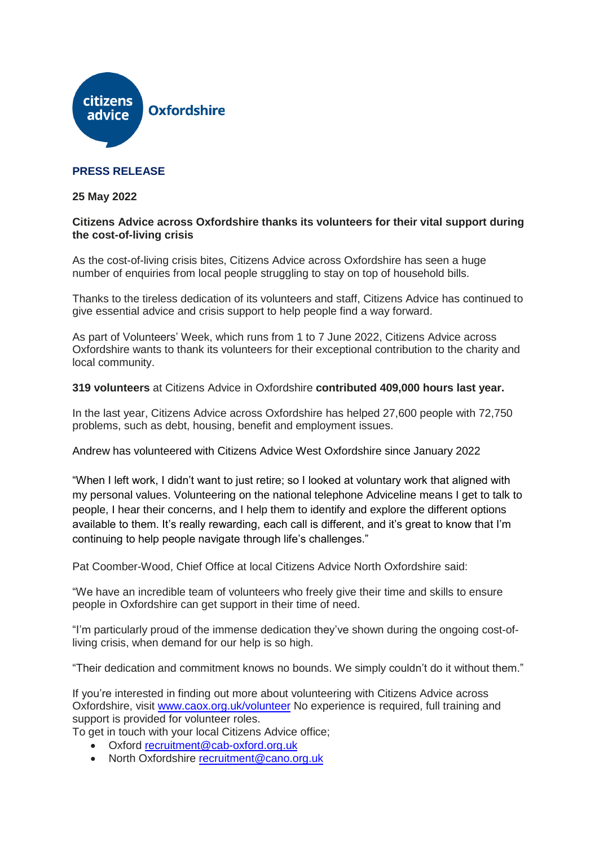

# **PRESS RELEASE**

## **25 May 2022**

## **Citizens Advice across Oxfordshire thanks its volunteers for their vital support during the cost-of-living crisis**

As the cost-of-living crisis bites, Citizens Advice across Oxfordshire has seen a huge number of enquiries from local people struggling to stay on top of household bills.

Thanks to the tireless dedication of its volunteers and staff, Citizens Advice has continued to give essential advice and crisis support to help people find a way forward.

As part of Volunteers' Week, which runs from 1 to 7 June 2022, Citizens Advice across Oxfordshire wants to thank its volunteers for their exceptional contribution to the charity and local community.

#### **319 volunteers** at Citizens Advice in Oxfordshire **contributed 409,000 hours last year.**

In the last year, Citizens Advice across Oxfordshire has helped 27,600 people with 72,750 problems, such as debt, housing, benefit and employment issues.

Andrew has volunteered with Citizens Advice West Oxfordshire since January 2022

"When I left work, I didn't want to just retire; so I looked at voluntary work that aligned with my personal values. Volunteering on the national telephone Adviceline means I get to talk to people, I hear their concerns, and I help them to identify and explore the different options available to them. It's really rewarding, each call is different, and it's great to know that I'm continuing to help people navigate through life's challenges."

Pat Coomber-Wood, Chief Office at local Citizens Advice North Oxfordshire said:

"We have an incredible team of volunteers who freely give their time and skills to ensure people in Oxfordshire can get support in their time of need.

"I'm particularly proud of the immense dedication they've shown during the ongoing cost-ofliving crisis, when demand for our help is so high.

"Their dedication and commitment knows no bounds. We simply couldn't do it without them."

If you're interested in finding out more about volunteering with Citizens Advice across Oxfordshire, visit [www.caox.org.uk/volunteer](http://www.caox.org.uk/volunteer) No experience is required, full training and support is provided for volunteer roles.

To get in touch with your local Citizens Advice office;

- Oxford [recruitment@cab-oxford.org.uk](mailto:recruitment@cab-oxford.org.uk)
- North Oxfordshire [recruitment@cano.org.uk](mailto:recruitment@cano.org.uk)